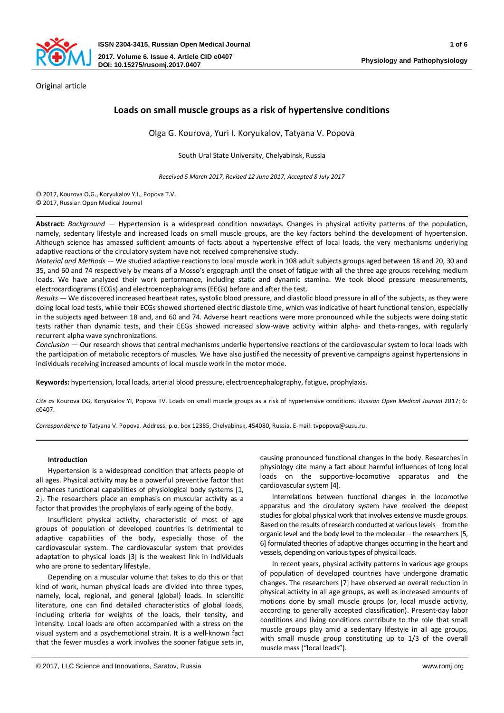

Original article

# **Loads on small muscle groups as a risk of hypertensive conditions**

Olga G. Kourova, Yuri I. Koryukalov, Tatyana V. Popova

South Ural State University, Chelyabinsk, Russia

*Received 5 March 2017, Revised 12 June 2017, Accepted 8 July 2017* 

© 2017, Kourova O.G., Koryukalov Y.I., Popova T.V.

© 2017, Russian Open Medical Journal

**Abstract:** *Background* ― Hypertension is a widespread condition nowadays. Changes in physical activity patterns of the population, namely, sedentary lifestyle and increased loads on small muscle groups, are the key factors behind the development of hypertension. Although science has amassed sufficient amounts of facts about a hypertensive effect of local loads, the very mechanisms underlying adaptive reactions of the circulatory system have not received comprehensive study.

*Material and Methods* ― We studied adaptive reactions to local muscle work in 108 adult subjects groups aged between 18 and 20, 30 and 35, and 60 and 74 respectively by means of a Mosso's ergograph until the onset of fatigue with all the three age groups receiving medium loads. We have analyzed their work performance, including static and dynamic stamina. We took blood pressure measurements, electrocardiograms (ECGs) and electroencephalograms (EEGs) before and after the test.

*Results* ― We discovered increased heartbeat rates, systolic blood pressure, and diastolic blood pressure in all of the subjects, as they were doing local load tests, while their ECGs showed shortened electric diastole time, which was indicative of heart functional tension, especially in the subjects aged between 18 and, and 60 and 74. Adverse heart reactions were more pronounced while the subjects were doing static tests rather than dynamic tests, and their EEGs showed increased slow-wave activity within alpha- and theta-ranges, with regularly recurrent alpha wave synchronizations.

*Conclusion* ― Our research shows that central mechanisms underlie hypertensive reactions of the cardiovascular system to local loads with the participation of metabolic receptors of muscles. We have also justified the necessity of preventive campaigns against hypertensions in individuals receiving increased amounts of local muscle work in the motor mode.

**Keywords:** hypertension, local loads, arterial blood pressure, electroencephalography, fatigue, prophylaxis.

*Cite as* Kourova OG, Koryukalov YI, Popova TV. Loads on small muscle groups as a risk of hypertensive conditions. *Russian Open Medical Journal* 2017; 6: e0407.

*Correspondence to* Tatyana V. Popova. Address: p.o. box 12385, Chelyabinsk, 454080, Russia. E-mail: tvpopova@susu.ru.

## **Introduction**

Hypertension is a widespread condition that affects people of all ages. Physical activity may be a powerful preventive factor that enhances functional capabilities of physiological body systems [1, 2]. The researchers place an emphasis on muscular activity as a factor that provides the prophylaxis of early ageing of the body.

Insufficient physical activity, characteristic of most of age groups of population of developed countries is detrimental to adaptive capabilities of the body, especially those of the cardiovascular system. The cardiovascular system that provides adaptation to physical loads [3] is the weakest link in individuals who are prone to sedentary lifestyle.

Depending on a muscular volume that takes to do this or that kind of work, human physical loads are divided into three types, namely, local, regional, and general (global) loads. In scientific literature, one can find detailed characteristics of global loads, including criteria for weights of the loads, their tensity, and intensity. Local loads are often accompanied with a stress on the visual system and a psychemotional strain. It is a well-known fact that the fewer muscles a work involves the sooner fatigue sets in,

causing pronounced functional changes in the body. Researches in physiology cite many a fact about harmful influences of long local loads on the supportive-locomotive apparatus and the cardiovascular system [4].

Interrelations between functional changes in the locomotive apparatus and the circulatory system have received the deepest studies for global physical work that involves extensive muscle groups. Based on the results of research conducted at various levels – from the organic level and the body level to the molecular – the researchers [5, 6] formulated theories of adaptive changes occurring in the heart and vessels, depending on various types of physical loads.

In recent years, physical activity patterns in various age groups of population of developed countries have undergone dramatic changes. The researchers [7] have observed an overall reduction in physical activity in all age groups, as well as increased amounts of motions done by small muscle groups (or, local muscle activity, according to generally accepted classification). Present-day labor conditions and living conditions contribute to the role that small muscle groups play amid a sedentary lifestyle in all age groups, with small muscle group constituting up to 1/3 of the overall muscle mass ("local loads").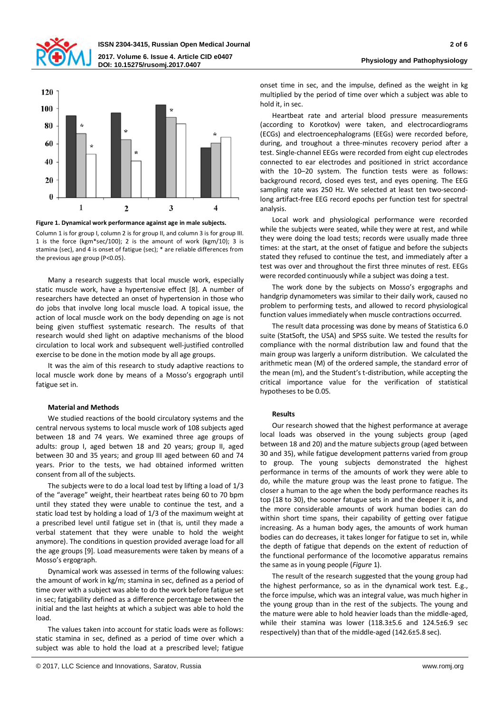



**Figure 1. Dynamical work performance against age in male subjects.** 

Column 1 is for group I, column 2 is for group II, and column 3 is for group III. 1 is the force (kgm\*sec/100); 2 is the amount of work (kgm/10); 3 is stamina (sec), and 4 is onset of fatigue (sec); \* are reliable differences from the previous age group (P<0.05).

Many a research suggests that local muscle work, especially static muscle work, have a hypertensive effect [8]. A number of researchers have detected an onset of hypertension in those who do jobs that involve long local muscle load. A topical issue, the action of local muscle work on the body depending on age is not being given stuffiest systematic research. The results of that research would shed light on adaptive mechanisms of the blood circulation to local work and subsequent well-justified controlled exercise to be done in the motion mode by all age groups.

It was the aim of this research to study adaptive reactions to local muscle work done by means of a Mosso's ergograph until fatigue set in.

## **Material and Methods**

We studied reactions of the boold circulatory systems and the central nervous systems to local muscle work of 108 subjects aged between 18 and 74 years. We examined three age groups of adults: group I, aged betwen 18 and 20 years; group II, aged between 30 and 35 years; and group III aged between 60 and 74 years. Prior to the tests, we had obtained informed written consent from all of the subjects.

The subjects were to do a local load test by lifting a load of 1/3 of the "average" weight, their heartbeat rates being 60 to 70 bpm until they stated they were unable to continue the test, and a static load test by holding a load of 1/3 of the maximum weight at a prescribed level until fatigue set in (that is, until they made a verbal statement that they were unable to hold the weight anymore). The conditions in question provided average load for all the age groups [9]. Load measurements were taken by means of a Mosso's ergograph.

Dynamical work was assessed in terms of the following values: the amount of work in kg/m; stamina in sec, defined as a period of time over with a subject was able to do the work before fatigue set in sec; fatigability defined as a difference percentage between the initial and the last heights at which a subject was able to hold the load.

The values taken into account for static loads were as follows: static stamina in sec, defined as a period of time over which a subject was able to hold the load at a prescribed level; fatigue

onset time in sec, and the impulse, defined as the weight in kg multiplied by the period of time over which a subject was able to hold it, in sec.

Heartbeat rate and arterial blood pressure measurements (according to Korotkov) were taken, and electrocardiograms (ECGs) and electroencephalograms (EEGs) were recorded before, during, and troughout a three-minutes recovery period after a test. Single-channel EEGs were recorded from eight cup electrodes connected to ear electrodes and positioned in strict accordance with the 10–20 system. The function tests were as follows: background record, closed eyes test, and eyes opening. The EEG sampling rate was 250 Hz. We selected at least ten two-secondlong artifact-free EEG record epochs per function test for spectral analysis.

Local work and physiological performance were recorded while the subjects were seated, while they were at rest, and while they were doing the load tests; records were usually made three times: at the start, at the onset of fatigue and before the subjects stated they refused to continue the test, and immediately after a test was over and throughout the first three minutes of rest. EEGs were recorded continuously while a subject was doing a test.

The work done by the subjects on Mosso's ergographs and handgrip dynamometers was similar to their daily work, caused no problem to performing tests, and allowed to record physiological function values immediately when muscle contractions occurred.

The result data processing was done by means of Statistica 6.0 suite (StatSoft, the USA) and SPSS suite. We tested the results for compliance with the normal distribution law and found that the main group was largerly a uniform distribution. We calculated the arithmetic mean (М) of the ordered sample, the standard error of the mean (m), and the Student's t-distribution, while accepting the critical importance value for the verification of statistical hypotheses to be 0.05.

## **Results**

Our research showed that the highest performance at average local loads was observed in the young subjects group (aged between 18 and 20) and the mature subjects group (aged between 30 and 35), while fatigue development patterns varied from group to group. The young subjects demonstrated the highest performance in terms of the amounts of work they were able to do, while the mature group was the least prone to fatigue. The closer a human to the age when the body performance reaches its top (18 to 30), the sooner fatugue sets in and the deeper it is, and the more considerable amounts of work human bodies can do within short time spans, their capability of getting over fatigue increasing. As a human body ages, the amounts of work human bodies can do decreases, it takes longer for fatigue to set in, while the depth of fatigue that depends on the extent of reduction of the functional performance of the locomotive apparatus remains the same as in young people (*Figure* 1).

The result of the research suggested that the young group had the highest performance, so as in the dynamical work test. E.g., the force impulse, which was an integral value, was much higher in the young group than in the rest of the subjects. The young and the mature were able to hold heavier loads than the middle-aged, while their stamina was lower (118.3±5.6 and 124.5±6.9 sec respectively) than that of the middle-aged (142.6±5.8 sec).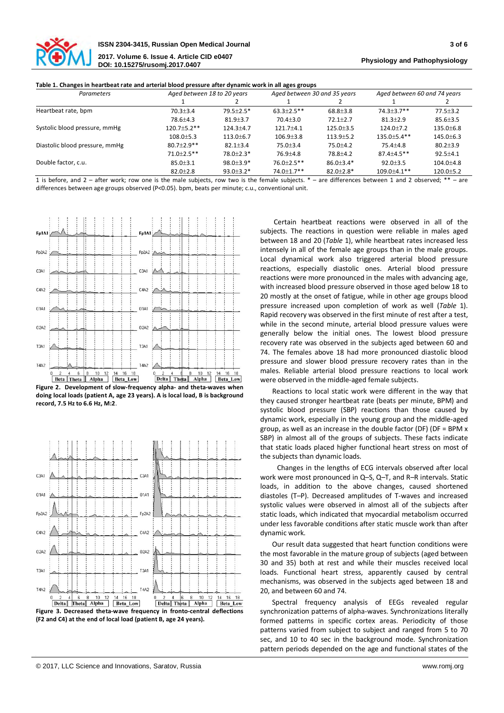

| Table 1. Changes in heartbeat rate and arterial blood pressure after dynamic work in all ages groups |  |  |
|------------------------------------------------------------------------------------------------------|--|--|
|                                                                                                      |  |  |

| <b>Parameters</b>              | Aged between 18 to 20 years |                 | Aged between 30 and 35 years |                 | Aged between 60 and 74 years |                 |
|--------------------------------|-----------------------------|-----------------|------------------------------|-----------------|------------------------------|-----------------|
|                                |                             |                 |                              |                 |                              |                 |
| Heartbeat rate, bpm            | $70.3 + 3.4$                | $79.5 + 2.5*$   | $63.3 + 2.5$ **              | $68.8 \pm 3.8$  | $74.3 + 3.7$ **              | $77.5 \pm 3.2$  |
|                                | 78.6±4.3                    | $81.9 \pm 3.7$  | $70.4 + 3.0$                 | $72.1 + 2.7$    | $81.3 + 2.9$                 | $85.6 \pm 3.5$  |
| Systolic blood pressure, mmHg  | $120.7 + 5.2$ **            | $124.3 + 4.7$   | $121.7 + 4.1$                | 125.0±3.5       | $124.0 \pm 7.2$              | $135.0 \pm 6.8$ |
|                                | $108.0 \pm 5.3$             | $113.0 \pm 6.7$ | $106.9{\pm}3.8$              | $113.9 \pm 5.2$ | $135.0 + 5.4$ **             | $145.0 \pm 6.3$ |
| Diastolic blood pressure, mmHg | $80.7 + 2.9$ **             | $82.1 \pm 3.4$  | $75.0 \pm 3.4$               | $75.0 \pm 4.2$  | $75.4 \pm 4.8$               | $80.2 \pm 3.9$  |
|                                | $71.0 + 2.5$ **             | $78.0 + 2.3*$   | $76.9 \pm 4.8$               | 78.8±4.2        | $87.4 + 4.5$ **              | $92.5 \pm 4.1$  |
| Double factor, c.u.            | $85.0 \pm 3.1$              | $98.0 \pm 3.9*$ | $76.0 + 2.5$ **              | $86.0 \pm 3.4*$ | $92.0 \pm 3.5$               | $104.0{\pm}4.8$ |
|                                | $82.0 \pm 2.8$              | $93.0 \pm 3.2*$ | $74.0 \pm 1.7$ **            | $82.0 \pm 2.8*$ | $109.0 \pm 4.1$ **           | $120.0 \pm 5.2$ |

1 is before, and 2 – after work; row one is the male subjects, row two is the female subjects. \* – are differences between 1 and 2 observed; \*\* – are differences between age groups observed (P<0.05). bpm, beats per minute; c.u., conventional unit.



**Figure 2. Development of slow-frequency alpha- and theta-waves when doing local loads (patient A, age 23 years). А is local load, В is background record, 7.5 Hz to 6.6 Hz, М:2**.



**(F2 and С4) at the end of local load (patient B, age 24 years).**

Certain heartbeat reactions were observed in all of the subjects. The reactions in question were reliable in males aged between 18 and 20 (*Table* 1), while heartbeat rates increased less intensely in all of the female age groups than in the male groups. Local dynamical work also triggered arterial blood pressure reactions, especially diastolic ones. Arterial blood pressure reactions were more pronounced in the males with advancing age, with increased blood pressure observed in those aged below 18 to 20 mostly at the onset of fatigue, while in other age groups blood pressure increased upon completion of work as well (*Table* 1). Rapid recovery was observed in the first minute of rest after a test, while in the second minute, arterial blood pressure values were generally below the initial ones. The lowest blood pressure recovery rate was observed in the subjects aged between 60 and 74. The females above 18 had more pronounced diastolic blood pressure and slower blood pressure recovery rates than in the males. Reliable arterial blood pressure reactions to local work were observed in the middle-aged female subjects.

Reactions to local static work were different in the way that they caused stronger heartbeat rate (beats per minute, BPM) and systolic blood pressure (SBP) reactions than those caused by dynamic work, especially in the young group and the middle-aged group, as well as an increase in the double factor (DF) (DF = BPM x SBP) in almost all of the groups of subjects. These facts indicate that static loads placed higher functional heart stress on most of the subjects than dynamic loads.

 Changes in the lengths of ECG intervals observed after local work were most pronounced in Q–S, Q–T, and R–R intervals. Static loads, in addition to the above changes, caused shortened diastoles (T–P). Decreased amplitudes of T-waves and increased systolic values were observed in almost all of the subjects after static loads, which indicated that myocardial metabolism occurred under less favorable conditions after static muscle work than after dynamic work.

Our result data suggested that heart function conditions were the most favorable in the mature group of subjects (aged between 30 and 35) both at rest and while their muscles received local loads. Functional heart stress, apparently caused by central mechanisms, was observed in the subjects aged between 18 and 20, and between 60 and 74.

Spectral frequency analysis of EEGs revealed regular synchronization patterns of alpha-waves. Synchronizations literally formed patterns in specific cortex areas. Periodicity of those patterns varied from subject to subject and ranged from 5 to 70 sec, and 10 to 40 sec in the background mode. Synchronization pattern periods depended on the age and functional states of the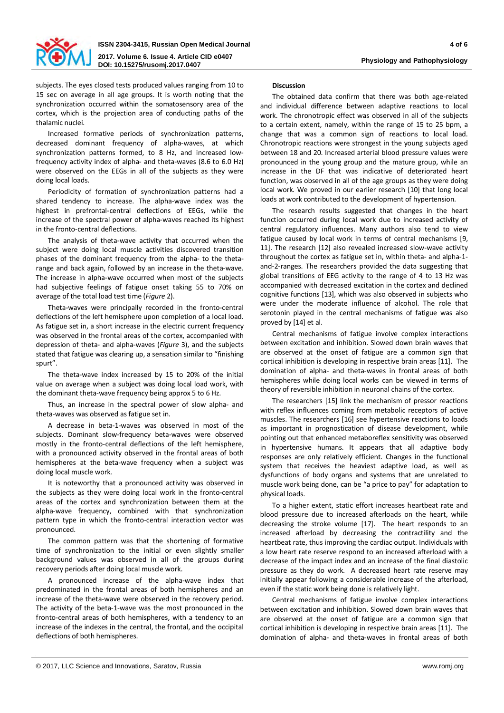

subjects. The eyes closed tests produced values ranging from 10 to 15 sec on average in all age groups. It is worth noting that the synchronization occurred within the somatosensory area of the cortex, which is the projection area of conducting paths of the thalamic nuclei.

Increased formative periods of synchronization patterns, decreased dominant frequency of alpha-waves, at which synchronization patterns formed, to 8 Hz, and increased lowfrequency activity index of alpha- and theta-waves (8.6 to 6.0 Hz) were observed on the EEGs in all of the subjects as they were doing local loads.

Periodicity of formation of synchronization patterns had a shared tendency to increase. The alpha-wave index was the highest in prefrontal-central deflections of EEGs, while the increase of the spectral power of alpha-waves reached its highest in the fronto-central deflections.

The analysis of theta-wave activity that occurred when the subject were doing local muscle activities discovered transition phases of the dominant frequency from the alpha- to the thetarange and back again, followed by an increase in the theta-wave. The increase in alpha-wave occurred when most of the subjects had subjective feelings of fatigue onset taking 55 to 70% on average of the total load test time (*Figure* 2).

Theta-waves were principally recorded in the fronto-central deflections of the left hemisphere upon completion of a local load. As fatigue set in, a short increase in the electric current frequency was observed in the frontal areas of the cortex, accompanied with depression of theta- and alpha-waves (*Figure* 3), and the subjects stated that fatigue was clearing up, a sensation similar to "finishing spurt".

The theta-wave index increased by 15 to 20% of the initial value on average when a subject was doing local load work, with the dominant theta-wave frequency being approx 5 to 6 Hz.

Thus, an increase in the spectral power of slow alpha- and theta-waves was observed as fatigue set in.

A decrease in beta-1-waves was observed in most of the subjects. Dominant slow-frequency beta-waves were observed mostly in the fronto-central deflections of the left hemisphere, with a pronounced activity observed in the frontal areas of both hemispheres at the beta-wave frequency when a subject was doing local muscle work.

It is noteworthy that a pronounced activity was observed in the subjects as they were doing local work in the fronto-central areas of the cortex and synchronization between them at the alpha-wave frequency, combined with that synchronization pattern type in which the fronto-central interaction vector was pronounced.

The common pattern was that the shortening of formative time of synchronization to the initial or even slightly smaller background values was observed in all of the groups during recovery periods after doing local muscle work.

A pronounced increase of the alpha-wave index that predominated in the frontal areas of both hemispheres and an increase of the theta-wave were observed in the recovery period. The activity of the beta-1-wave was the most pronounced in the fronto-central areas of both hemispheres, with a tendency to an increase of the indexes in the central, the frontal, and the occipital deflections of both hemispheres.

## **Discussion**

The obtained data confirm that there was both age-related and individual difference between adaptive reactions to local work. The chronotropic effect was observed in all of the subjects to a certain extent, namely, within the range of 15 to 25 bpm, a change that was a common sign of reactions to local load. Chronotropic reactions were strongest in the young subjects aged between 18 and 20. Increased arterial blood pressure values were pronounced in the young group and the mature group, while an increase in the DF that was indicative of deteriorated heart function, was observed in all of the age groups as they were doing local work. We proved in our earlier research [10] that long local loads at work contributed to the development of hypertension.

The research results suggested that changes in the heart function occurred during local work due to increased activity of central regulatory influences. Many authors also tend to view fatigue caused by local work in terms of central mechanisms [9, 11]. The research [12] also revealed increased slow-wave activity throughout the cortex as fatigue set in, within theta- and alpha-1 and-2-ranges. The researchers provided the data suggesting that global transitions of EEG activity to the range of 4 to 13 Hz was accompanied with decreased excitation in the cortex and declined cognitive functions [13], which was also observed in subjects who were under the moderate influence of alcohol. The role that serotonin played in the central mechanisms of fatigue was also proved by [14] et al.

Central mechanisms of fatigue involve complex interactions between excitation and inhibition. Slowed down brain waves that are observed at the onset of fatigue are a common sign that cortical inhibition is developing in respective brain areas [11]. The domination of alpha- and theta-waves in frontal areas of both hemispheres while doing local works can be viewed in terms of theory of reversible inhibition in neuronal chains of the cortex.

The researchers [15] link the mechanism of pressor reactions with reflex influences coming from metabolic receptors of active muscles. The researchers [16] see hypertensive reactions to loads as important in prognostication of disease development, while pointing out that enhanced metaboreflex sensitivity was observed in hypertensive humans. It appears that all adaptive body responses are only relatively efficient. Changes in the functional system that receives the heaviest adaptive load, as well as dysfunctions of body organs and systems that are unrelated to muscle work being done, can be "a price to pay" for adaptation to physical loads.

To a higher extent, static effort increases heartbeat rate and blood pressure due to increased afterloads on the heart, while decreasing the stroke volume [17]. The heart responds to an increased afterload by decreasing the contractility and the heartbeat rate, thus improving the cardiac output. Individuals with a low heart rate reserve respond to an increased afterload with a decrease of the impact index and an increase of the final diastolic pressure as they do work. A decreased heart rate reserve may initially appear following a considerable increase of the afterload, even if the static work being done is relatively light.

Central mechanisms of fatigue involve complex interactions between excitation and inhibition. Slowed down brain waves that are observed at the onset of fatigue are a common sign that cortical inhibition is developing in respective brain areas [11]. The domination of alpha- and theta-waves in frontal areas of both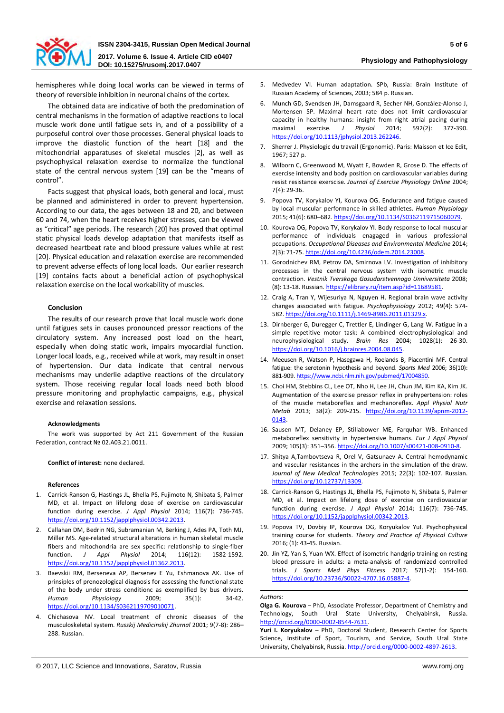

5. Medvedev VI. Human adaptation. SPb, Russia: Brain Institute of

hemispheres while doing local works can be viewed in terms of theory of reversible inhibition in neuronal chains of the cortex.

The obtained data are indicative of both the predomination of central mechanisms in the formation of adaptive reactions to local muscle work done until fatigue sets in, and of a possibility of a purposeful control over those processes. General physical loads to improve the diastolic function of the heart [18] and the mitochondrial apparatuses of skeletal muscles [2], as well as psychophysical relaxation exercise to normalize the functional state of the central nervous system [19] can be the "means of control".

Facts suggest that physical loads, both general and local, must be planned and administered in order to prevent hypertension. According to our data, the ages between 18 and 20, and between 60 and 74, when the heart receives higher stresses, can be viewed as "critical" age periods. The research [20] has proved that optimal static physical loads develop adaptation that manifests itself as decreased heartbeat rate and blood pressure values while at rest [20]. Physical education and relaxation exercise are recommended to prevent adverse effects of long local loads. Our earlier research [19] contains facts about a beneficial action of psychophysical relaxation exercise on the local workability of muscles.

## **Conclusion**

The results of our research prove that local muscle work done until fatigues sets in causes pronounced pressor reactions of the circulatory system. Any increased post load on the heart, especially when doing static work, impairs myocardial function. Longer local loads, e.g., received while at work, may result in onset of hypertension. Our data indicate that central nervous mechanisms may underlie adaptive reactions of the circulatory system. Those receiving regular local loads need both blood pressure monitoring and prophylactic campaigns, e.g., physical exercise and relaxation sessions.

## **Acknowledgments**

The work was supported by Act 211 Government of the Russian Federation, contract № 02.A03.21.0011.

## **Conflict of interest:** none declared.

## **References**

- 1. Carrick-Ranson G, Hastings JL, Bhella PS, Fujimoto N, Shibata S, Palmer MD, et al. Impact on lifelong dose of exercise on cardiovascular function during exercise. *J Appl Physiol* 2014; 116(7): 736-745. [https://doi.org/10.1152/japplphysiol.00342.2013.](https://doi.org/10.1152/japplphysiol.00342.2013)
- 2. Callahan DM, Bedrin NG, Subramanian M, Berking J, Ades PA, Toth MJ, Miller MS. Age-related structural alterations in human skeletal muscle fibers and mitochondria are sex specific: relationship to single-fiber function. *J Appl Physiol* 2014; 116(12): 1582-1592. [https://doi.org/10.1152/japplphysiol.01362.2013.](https://doi.org/10.1152/japplphysiol.01362.2013)
- 3. Baevskii RM, Berseneva AP, Bersenev E Yu, Eshmanova AK. Use of prinsiples of prenozological diagnosis for assessing the functional state of the body under stress conditionc as exemplified by bus drivers. *Human Physiology* 2009; 35(1): 34-42. [https://doi.org/10.1134/S0362119709010071.](https://doi.org/10.1134/S0362119709010071)
- 4. Chichasova NV. Local treatment of chronic diseases of the musculoskeletal system. *Russkij Medicinskij Zhurnal* 2001; 9(7-8): 286– 288. Russian.
- Russian Academy of Sciences, 2003; 584 p. Russian. 6. Munch GD, Svendsen JH, Damsgaard R, Secher NH, González-Alonso J, Mortensen SP. Maximal heart rate does not limit cardiovascular
- capacity in healthy humans: insight from right atrial pacing during maximal exercise. *J Physiol* 2014; 592(2): 377-390. [https://doi.org/10.1113/jphysiol.2013.262246.](https://doi.org/10.1113/jphysiol.2013.262246)
- 7. Sherrer J. Physiologic du travail (Ergonomic). Paris: Maisson et Ice Edit, 1967; 527 р.
- 8. Wilborn C, Greenwood M, Wyatt F, Bowden R, Grose D. The effects of exercise intensity and body position on cardiovascular variables during resist resistance exerscise. *Journal of Exercise Physiology Online* 2004; 7(4): 29-36.
- 9. Popova TV, Korykalov YI, Kourova OG. Endurance and fatigue caused by local muscular performance in skilled athletes. *Human Physiology*  2015; 41(6): 680–682. [https://doi.org/10.1134/S0362119715060079.](https://doi.org/10.1134/S0362119715060079)
- 10. Kourova OG, Popova TV, Korykalov YI. Body response to local muscular performance of individuals enagaged in various professional pccupations. *Occupational Diseases and Environmental Medicine* 2014; 2(3): 71-75[. https://doi.org/10.4236/odem.2014.23008.](https://doi.org/10.4236/odem.2014.23008)
- 11. Gorodnichev RM, Petrov DA, Smirnova LV. Investigation of inhibitory processes in the central nervous system with isometric muscle contraction. *Vestnik Tverskogo Gosudarstvennogo Unniversiteta* 2008; (8): 13-18. Russian. [https://elibrary.ru/item.asp?id=11689581.](https://elibrary.ru/item.asp?id=11689581)
- 12. Craig A, Tran Y, Wijesuriya N, Nguyen H. Regional brain wave activity changes associated with fatigue. *Psychophysiology* 2012; 49(4): 574- 582. [https://doi.org/10.1111/j.1469-8986.2011.01329.x.](https://doi.org/10.1111/j.1469-8986.2011.01329.x)
- 13. Dirnberger G, Duregger C, Trettler E, Lindinger G, Lang W. Fatigue in a simple repetitive motor task: A combined electrophysiological and neurophysiological study. *Brain Res* 2004; 1028(1): 26-30. [https://doi.org/10.1016/j.brainres.2004.08.045.](https://doi.org/10.1016/j.brainres.2004.08.045)
- 14. Meeusen R, Watson P, Hasegawa H, Roelands B, Piacentini MF. Central fatigue: the serotonin hypothesis and beyond. *Sports Med* 2006; 36(10): 881-909[. https://www.ncbi.nlm.nih.gov/pubmed/17004850.](https://www.ncbi.nlm.nih.gov/pubmed/17004850)
- 15. Choi HM, Stebbins CL, Lee OT, Nho H, Lee JH, Chun JM, Kim KA, Kim JK. Augmentation of the exercise pressor reflex in prehypertension: roles of the muscle metaboreflex and mechanoreflex. *Appl Physiol Nutr Metab* 2013; 38(2): 209-215. [https://doi.org/10.1139/apnm-2012-](https://doi.org/10.1139/apnm-2012-0143) [0143.](https://doi.org/10.1139/apnm-2012-0143)
- 16. Sausen MT, Delaney EP, Stillabower ME, Farquhar WB. Enhanced metaboreflex sensitivity in hypertensive humans. *Eur J Appl Physiol* 2009; 105(3): 351–356[. https://doi.org/10.1007/s00421-008-0910-8.](https://doi.org/10.1007/s00421-008-0910-8)
- 17. Shitya A,Tambovtseva R, Orel V, Gatsunaev A. Central hemodynamic and vascular resistances in the archers in the simulation of the draw. *Journal of New Medical Technologies* 2015; 22(3): 102-107. Russian. [https://doi.org/10.12737/13309.](https://doi.org/10.12737/13309)
- 18. Carrick-Ranson G, Hastings JL, Bhella PS, Fujimoto N, Shibata S, Palmer MD, et al. Impact on lifelong dose of exercise on cardiovascular function during exercise. *J Appl Physiol* 2014; 116(7): 736-745. [https://doi.org/10.1152/japplphysiol.00342.2013.](https://doi.org/10.1152/japplphysiol.00342.2013)
- 19. Popova TV, Dovbiy IP, Kourova OG, Koryukalov YuI. Psychophysical training course for students. *Theory and Practice of Physical Culture* 2016; (1): 43-45. Russian.
- 20. Jin YZ, Yan S, Yuan WX. Effect of isometric handgrip training on resting blood pressure in adults: a meta-analysis of randomized controlled trials. *J Sports Med Phys Fitness* 2017; 57(1-2): 154-160. [https://doi.org/10.23736/S0022-4707.16.05887-4.](https://doi.org/10.23736/S0022-4707.16.05887-4)

## *Authors:*

**Olga G. Kourova** – PhD, Associate Professor, Department of Chemistry and Technology, South Ural State University, Chelyabinsk, Russia. [http://orcid.org/0000-0002-8544-7631.](http://orcid.org/0000-0002-8544-7631)

**Yuri I. Koryukalov** – PhD, Doctoral Student, Research Center for Sports Science, Institute of Sport, Tourism, and Service, South Ural State University, Chelyabinsk, Russia. [http://orcid.org/0000-0002-4897-2613.](http://orcid.org/0000-0002-4897-2613)